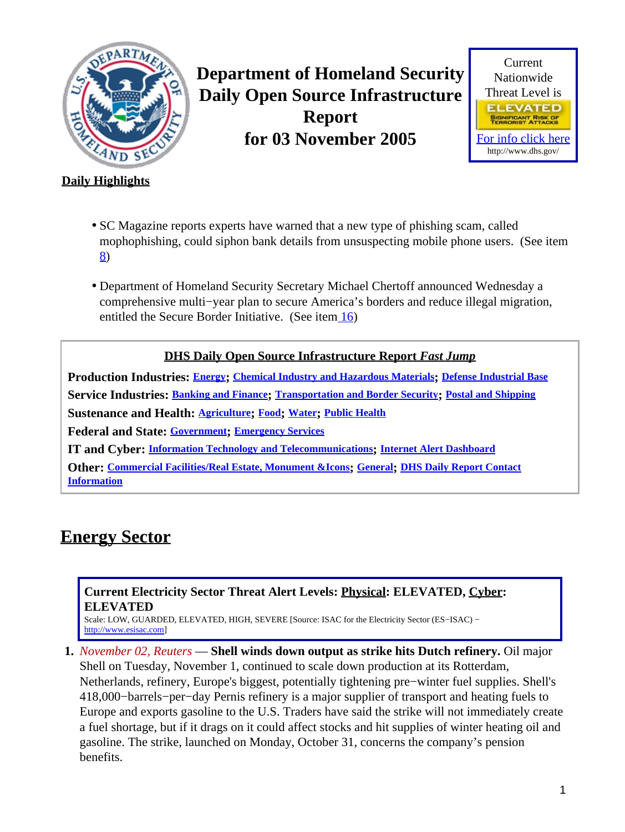<span id="page-0-1"></span>

**Department of Homeland Security Daily Open Source Infrastructure Report for 03 November 2005**



### **Daily Highlights**

- SC Magazine reports experts have warned that a new type of phishing scam, called mophophishing, could siphon bank details from unsuspecting mobile phone users. (See item [8\)](#page-2-0)
- Department of Homeland Security Secretary Michael Chertoff announced Wednesday a comprehensive multi−year plan to secure America's borders and reduce illegal migration, entitled the Secure Border Initiative. (See item [16](#page-5-0))

#### **DHS Daily Open Source Infrastructure Report** *Fast Jump*

**Production Industries: [Energy](#page-0-0); [Chemical Industry and Hazardous Materials](#page-1-0); [Defense Industrial Base](#page-1-1) Service Industries: [Banking and Finance](#page-2-1); [Transportation and Border Security](#page-3-0); [Postal and Shipping](#page-5-1) Sustenance and Health: [Agriculture](#page-6-0); [Food](#page-6-1); [Water](#page-7-0); [Public Health](#page-8-0) Federal and State: [Government](#page-8-1); [Emergency Services](#page-9-0) IT and Cyber: [Information Technology and Telecommunications](#page-11-0); [Internet Alert Dashboard](#page-12-0)**

**Other: [Commercial Facilities/Real Estate, Monument &Icons](#page-12-1); [General](#page-13-0); [DHS Daily Report Contact](#page-13-1) [Information](#page-13-1)**

# <span id="page-0-0"></span>**Energy Sector**

#### **Current Electricity Sector Threat Alert Levels: Physical: ELEVATED, Cyber: ELEVATED**

Scale: LOW, GUARDED, ELEVATED, HIGH, SEVERE [Source: ISAC for the Electricity Sector (ES−ISAC) − [http://www.esisac.com](http://esisac.com)]

**1.** *November 02, Reuters* — **Shell winds down output as strike hits Dutch refinery.** Oil major Shell on Tuesday, November 1, continued to scale down production at its Rotterdam, Netherlands, refinery, Europe's biggest, potentially tightening pre−winter fuel supplies. Shell's 418,000−barrels−per−day Pernis refinery is a major supplier of transport and heating fuels to Europe and exports gasoline to the U.S. Traders have said the strike will not immediately create a fuel shortage, but if it drags on it could affect stocks and hit supplies of winter heating oil and gasoline. The strike, launched on Monday, October 31, concerns the company's pension benefits.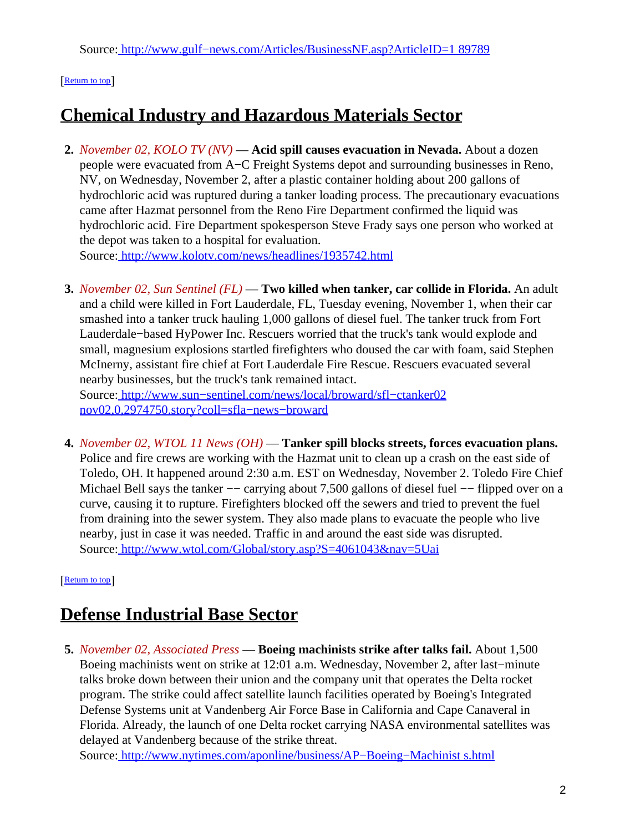### [[Return to top](#page-0-1)]

# <span id="page-1-0"></span>**Chemical Industry and Hazardous Materials Sector**

**2.** *November 02, KOLO TV (NV)* — **Acid spill causes evacuation in Nevada.** About a dozen people were evacuated from A−C Freight Systems depot and surrounding businesses in Reno, NV, on Wednesday, November 2, after a plastic container holding about 200 gallons of hydrochloric acid was ruptured during a tanker loading process. The precautionary evacuations came after Hazmat personnel from the Reno Fire Department confirmed the liquid was hydrochloric acid. Fire Department spokesperson Steve Frady says one person who worked at the depot was taken to a hospital for evaluation. Source[: http://www.kolotv.com/news/headlines/1935742.html](http://www.kolotv.com/news/headlines/1935742.html)

**3.** *November 02, Sun Sentinel (FL)* — **Two killed when tanker, car collide in Florida.** An adult and a child were killed in Fort Lauderdale, FL, Tuesday evening, November 1, when their car smashed into a tanker truck hauling 1,000 gallons of diesel fuel. The tanker truck from Fort Lauderdale−based HyPower Inc. Rescuers worried that the truck's tank would explode and small, magnesium explosions startled firefighters who doused the car with foam, said Stephen McInerny, assistant fire chief at Fort Lauderdale Fire Rescue. Rescuers evacuated several nearby businesses, but the truck's tank remained intact. Source[: http://www.sun−sentinel.com/news/local/broward/sfl−ctanker02](http://www.sun-sentinel.com/news/local/broward/sfl-ctanker02nov02,0,2974750.story?coll=sfla-news-broward)

[nov02,0,2974750.story?coll=sfla−news−broward](http://www.sun-sentinel.com/news/local/broward/sfl-ctanker02nov02,0,2974750.story?coll=sfla-news-broward)

**4.** *November 02, WTOL 11 News (OH)* — **Tanker spill blocks streets, forces evacuation plans.** Police and fire crews are working with the Hazmat unit to clean up a crash on the east side of Toledo, OH. It happened around 2:30 a.m. EST on Wednesday, November 2. Toledo Fire Chief Michael Bell says the tanker –– carrying about 7,500 gallons of diesel fuel –– flipped over on a curve, causing it to rupture. Firefighters blocked off the sewers and tried to prevent the fuel from draining into the sewer system. They also made plans to evacuate the people who live nearby, just in case it was needed. Traffic in and around the east side was disrupted. Source[: http://www.wtol.com/Global/story.asp?S=4061043&nav=5Uai](http://www.wtol.com/Global/story.asp?S=4061043&nav=5Uai)

[[Return to top](#page-0-1)]

## <span id="page-1-1"></span>**Defense Industrial Base Sector**

**5.** *November 02, Associated Press* — **Boeing machinists strike after talks fail.** About 1,500 Boeing machinists went on strike at 12:01 a.m. Wednesday, November 2, after last−minute talks broke down between their union and the company unit that operates the Delta rocket program. The strike could affect satellite launch facilities operated by Boeing's Integrated Defense Systems unit at Vandenberg Air Force Base in California and Cape Canaveral in Florida. Already, the launch of one Delta rocket carrying NASA environmental satellites was delayed at Vandenberg because of the strike threat.

Source[: http://www.nytimes.com/aponline/business/AP−Boeing−Machinist s.html](http://www.nytimes.com/aponline/business/AP-Boeing-Machinists.html)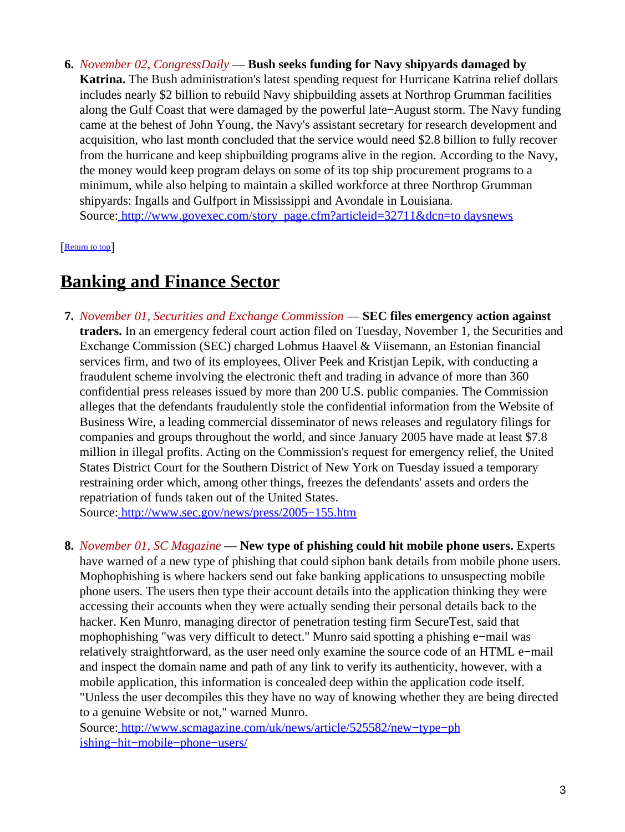**6.** *November 02, CongressDaily* — **Bush seeks funding for Navy shipyards damaged by Katrina.** The Bush administration's latest spending request for Hurricane Katrina relief dollars includes nearly \$2 billion to rebuild Navy shipbuilding assets at Northrop Grumman facilities along the Gulf Coast that were damaged by the powerful late−August storm. The Navy funding came at the behest of John Young, the Navy's assistant secretary for research development and acquisition, who last month concluded that the service would need \$2.8 billion to fully recover from the hurricane and keep shipbuilding programs alive in the region. According to the Navy, the money would keep program delays on some of its top ship procurement programs to a minimum, while also helping to maintain a skilled workforce at three Northrop Grumman shipyards: Ingalls and Gulfport in Mississippi and Avondale in Louisiana. Source[: http://www.govexec.com/story\\_page.cfm?articleid=32711&dcn=to daysnews](http://www.govexec.com/story_page.cfm?articleid=32711&dcn=todaysnews)

[[Return to top](#page-0-1)]

## <span id="page-2-1"></span>**Banking and Finance Sector**

**7.** *November 01, Securities and Exchange Commission* — **SEC files emergency action against traders.** In an emergency federal court action filed on Tuesday, November 1, the Securities and Exchange Commission (SEC) charged Lohmus Haavel & Viisemann, an Estonian financial services firm, and two of its employees, Oliver Peek and Kristjan Lepik, with conducting a fraudulent scheme involving the electronic theft and trading in advance of more than 360 confidential press releases issued by more than 200 U.S. public companies. The Commission alleges that the defendants fraudulently stole the confidential information from the Website of Business Wire, a leading commercial disseminator of news releases and regulatory filings for companies and groups throughout the world, and since January 2005 have made at least \$7.8 million in illegal profits. Acting on the Commission's request for emergency relief, the United States District Court for the Southern District of New York on Tuesday issued a temporary restraining order which, among other things, freezes the defendants' assets and orders the repatriation of funds taken out of the United States.

Source[: http://www.sec.gov/news/press/2005−155.htm](http://www.sec.gov/news/press/2005-155.htm)

<span id="page-2-0"></span>**8.** *November 01, SC Magazine* — **New type of phishing could hit mobile phone users.** Experts have warned of a new type of phishing that could siphon bank details from mobile phone users. Mophophishing is where hackers send out fake banking applications to unsuspecting mobile phone users. The users then type their account details into the application thinking they were accessing their accounts when they were actually sending their personal details back to the hacker. Ken Munro, managing director of penetration testing firm SecureTest, said that mophophishing "was very difficult to detect." Munro said spotting a phishing e−mail was relatively straightforward, as the user need only examine the source code of an HTML e−mail and inspect the domain name and path of any link to verify its authenticity, however, with a mobile application, this information is concealed deep within the application code itself. "Unless the user decompiles this they have no way of knowing whether they are being directed to a genuine Website or not," warned Munro.

Source[: http://www.scmagazine.com/uk/news/article/525582/new−type−ph](http://www.scmagazine.com/uk/news/article/525582/new-type-phishing-hit-mobile-phone-users/) [ishing−hit−mobile−phone−users/](http://www.scmagazine.com/uk/news/article/525582/new-type-phishing-hit-mobile-phone-users/)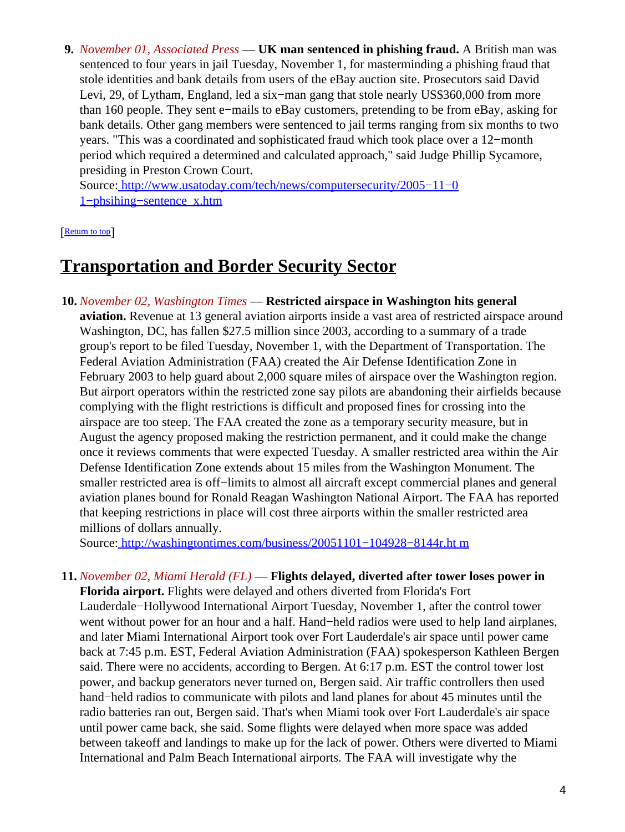**9.** *November 01, Associated Press* — **UK man sentenced in phishing fraud.** A British man was sentenced to four years in jail Tuesday, November 1, for masterminding a phishing fraud that stole identities and bank details from users of the eBay auction site. Prosecutors said David Levi, 29, of Lytham, England, led a six−man gang that stole nearly US\$360,000 from more than 160 people. They sent e−mails to eBay customers, pretending to be from eBay, asking for bank details. Other gang members were sentenced to jail terms ranging from six months to two years. "This was a coordinated and sophisticated fraud which took place over a 12−month period which required a determined and calculated approach," said Judge Phillip Sycamore, presiding in Preston Crown Court.

Source[: http://www.usatoday.com/tech/news/computersecurity/2005−11−0](http://www.usatoday.com/tech/news/computersecurity/2005-11-01-phsihing-sentence_x.htm) [1−phsihing−sentence\\_x.htm](http://www.usatoday.com/tech/news/computersecurity/2005-11-01-phsihing-sentence_x.htm)

[[Return to top](#page-0-1)]

### <span id="page-3-0"></span>**Transportation and Border Security Sector**

**10.** *November 02, Washington Times* — **Restricted airspace in Washington hits general aviation.** Revenue at 13 general aviation airports inside a vast area of restricted airspace around Washington, DC, has fallen \$27.5 million since 2003, according to a summary of a trade group's report to be filed Tuesday, November 1, with the Department of Transportation. The Federal Aviation Administration (FAA) created the Air Defense Identification Zone in February 2003 to help guard about 2,000 square miles of airspace over the Washington region. But airport operators within the restricted zone say pilots are abandoning their airfields because complying with the flight restrictions is difficult and proposed fines for crossing into the airspace are too steep. The FAA created the zone as a temporary security measure, but in August the agency proposed making the restriction permanent, and it could make the change once it reviews comments that were expected Tuesday. A smaller restricted area within the Air Defense Identification Zone extends about 15 miles from the Washington Monument. The smaller restricted area is off−limits to almost all aircraft except commercial planes and general aviation planes bound for Ronald Reagan Washington National Airport. The FAA has reported that keeping restrictions in place will cost three airports within the smaller restricted area millions of dollars annually.

Source[: http://washingtontimes.com/business/20051101−104928−8144r.ht m](http://washingtontimes.com/business/20051101-104928-8144r.htm)

**11.** *November 02, Miami Herald (FL)* — **Flights delayed, diverted after tower loses power in Florida airport.** Flights were delayed and others diverted from Florida's Fort Lauderdale−Hollywood International Airport Tuesday, November 1, after the control tower went without power for an hour and a half. Hand−held radios were used to help land airplanes, and later Miami International Airport took over Fort Lauderdale's air space until power came back at 7:45 p.m. EST, Federal Aviation Administration (FAA) spokesperson Kathleen Bergen said. There were no accidents, according to Bergen. At 6:17 p.m. EST the control tower lost power, and backup generators never turned on, Bergen said. Air traffic controllers then used hand−held radios to communicate with pilots and land planes for about 45 minutes until the radio batteries ran out, Bergen said. That's when Miami took over Fort Lauderdale's air space until power came back, she said. Some flights were delayed when more space was added between takeoff and landings to make up for the lack of power. Others were diverted to Miami International and Palm Beach International airports. The FAA will investigate why the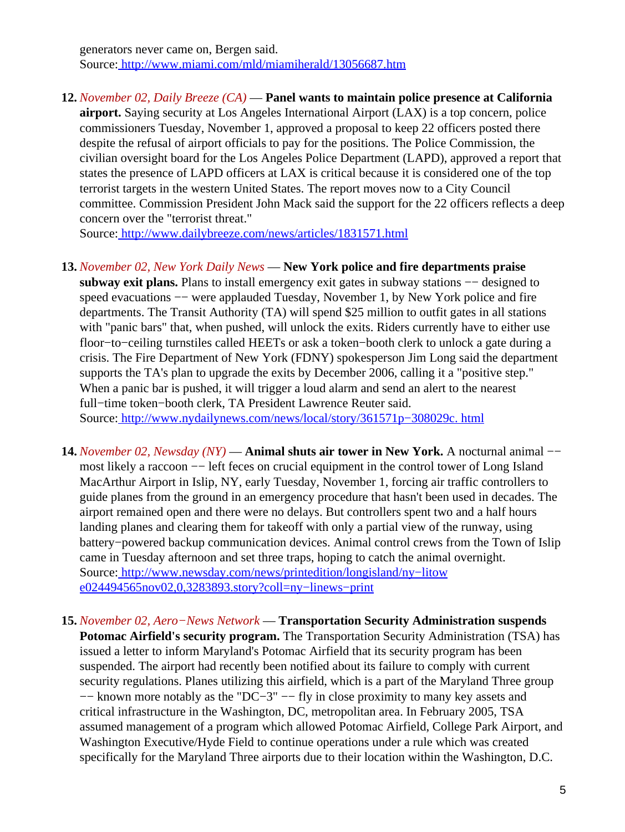generators never came on, Bergen said. Source[: http://www.miami.com/mld/miamiherald/13056687.htm](http://www.miami.com/mld/miamiherald/13056687.htm)

**12.** *November 02, Daily Breeze (CA)* — **Panel wants to maintain police presence at California airport.** Saying security at Los Angeles International Airport (LAX) is a top concern, police commissioners Tuesday, November 1, approved a proposal to keep 22 officers posted there despite the refusal of airport officials to pay for the positions. The Police Commission, the civilian oversight board for the Los Angeles Police Department (LAPD), approved a report that states the presence of LAPD officers at LAX is critical because it is considered one of the top terrorist targets in the western United States. The report moves now to a City Council committee. Commission President John Mack said the support for the 22 officers reflects a deep concern over the "terrorist threat."

Source[: http://www.dailybreeze.com/news/articles/1831571.html](http://www.dailybreeze.com/news/articles/1831571.html)

#### **13.** *November 02, New York Daily News* — **New York police and fire departments praise**

subway exit plans. Plans to install emergency exit gates in subway stations –– designed to speed evacuations –– were applauded Tuesday, November 1, by New York police and fire departments. The Transit Authority (TA) will spend \$25 million to outfit gates in all stations with "panic bars" that, when pushed, will unlock the exits. Riders currently have to either use floor−to−ceiling turnstiles called HEETs or ask a token−booth clerk to unlock a gate during a crisis. The Fire Department of New York (FDNY) spokesperson Jim Long said the department supports the TA's plan to upgrade the exits by December 2006, calling it a "positive step." When a panic bar is pushed, it will trigger a loud alarm and send an alert to the nearest full−time token−booth clerk, TA President Lawrence Reuter said. Source[: http://www.nydailynews.com/news/local/story/361571p−308029c. html](http://www.nydailynews.com/news/local/story/361571p-308029c.html)

- **14.** *November 02, Newsday (NY)* — **Animal shuts air tower in New York.** A nocturnal animal −− most likely a raccoon -- left feces on crucial equipment in the control tower of Long Island MacArthur Airport in Islip, NY, early Tuesday, November 1, forcing air traffic controllers to guide planes from the ground in an emergency procedure that hasn't been used in decades. The airport remained open and there were no delays. But controllers spent two and a half hours landing planes and clearing them for takeoff with only a partial view of the runway, using battery−powered backup communication devices. Animal control crews from the Town of Islip came in Tuesday afternoon and set three traps, hoping to catch the animal overnight. Source[: http://www.newsday.com/news/printedition/longisland/ny−litow](http://www.newsday.com/news/printedition/longisland/ny-litowe024494565nov02,0,3283893.story?coll=ny-linews-print) [e024494565nov02,0,3283893.story?coll=ny−linews−print](http://www.newsday.com/news/printedition/longisland/ny-litowe024494565nov02,0,3283893.story?coll=ny-linews-print)
- **15.** *November 02, Aero−News Network* — **Transportation Security Administration suspends Potomac Airfield's security program.** The Transportation Security Administration (TSA) has issued a letter to inform Maryland's Potomac Airfield that its security program has been suspended. The airport had recently been notified about its failure to comply with current security regulations. Planes utilizing this airfield, which is a part of the Maryland Three group −− known more notably as the "DC−3" −− fly in close proximity to many key assets and critical infrastructure in the Washington, DC, metropolitan area. In February 2005, TSA assumed management of a program which allowed Potomac Airfield, College Park Airport, and Washington Executive/Hyde Field to continue operations under a rule which was created specifically for the Maryland Three airports due to their location within the Washington, D.C.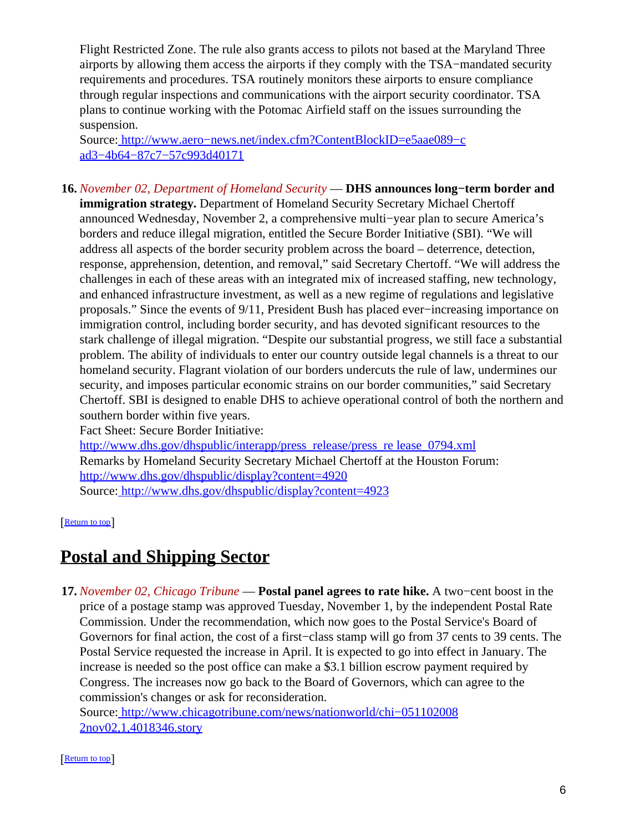Flight Restricted Zone. The rule also grants access to pilots not based at the Maryland Three airports by allowing them access the airports if they comply with the TSA−mandated security requirements and procedures. TSA routinely monitors these airports to ensure compliance through regular inspections and communications with the airport security coordinator. TSA plans to continue working with the Potomac Airfield staff on the issues surrounding the suspension.

Source[: http://www.aero−news.net/index.cfm?ContentBlockID=e5aae089−c](http://www.aero-news.net/index.cfm?ContentBlockID=e5aae089-cad3-4b64-87c7-57c993d40171) [ad3−4b64−87c7−57c993d40171](http://www.aero-news.net/index.cfm?ContentBlockID=e5aae089-cad3-4b64-87c7-57c993d40171)

<span id="page-5-0"></span>**16.** *November 02, Department of Homeland Security* — **DHS announces long−term border and immigration strategy.** Department of Homeland Security Secretary Michael Chertoff announced Wednesday, November 2, a comprehensive multi−year plan to secure America's borders and reduce illegal migration, entitled the Secure Border Initiative (SBI). "We will address all aspects of the border security problem across the board – deterrence, detection, response, apprehension, detention, and removal," said Secretary Chertoff. "We will address the challenges in each of these areas with an integrated mix of increased staffing, new technology, and enhanced infrastructure investment, as well as a new regime of regulations and legislative proposals." Since the events of 9/11, President Bush has placed ever−increasing importance on immigration control, including border security, and has devoted significant resources to the stark challenge of illegal migration. "Despite our substantial progress, we still face a substantial problem. The ability of individuals to enter our country outside legal channels is a threat to our homeland security. Flagrant violation of our borders undercuts the rule of law, undermines our security, and imposes particular economic strains on our border communities," said Secretary Chertoff. SBI is designed to enable DHS to achieve operational control of both the northern and southern border within five years.

Fact Sheet: Secure Border Initiative:

[http://www.dhs.gov/dhspublic/interapp/press\\_release/press\\_re lease\\_0794.xml](http://www.dhs.gov/dhspublic/interapp/press_release/press_release_0794.xml) Remarks by Homeland Security Secretary Michael Chertoff at the Houston Forum: <http://www.dhs.gov/dhspublic/display?content=4920> Source[: http://www.dhs.gov/dhspublic/display?content=4923](http://www.dhs.gov/dhspublic/display?content=4923)

[[Return to top](#page-0-1)]

## <span id="page-5-1"></span>**Postal and Shipping Sector**

**17.** *November 02, Chicago Tribune* — **Postal panel agrees to rate hike.** A two−cent boost in the price of a postage stamp was approved Tuesday, November 1, by the independent Postal Rate Commission. Under the recommendation, which now goes to the Postal Service's Board of Governors for final action, the cost of a first−class stamp will go from 37 cents to 39 cents. The Postal Service requested the increase in April. It is expected to go into effect in January. The increase is needed so the post office can make a \$3.1 billion escrow payment required by Congress. The increases now go back to the Board of Governors, which can agree to the commission's changes or ask for reconsideration.

Source[: http://www.chicagotribune.com/news/nationworld/chi−051102008](http://www.chicagotribune.com/news/nationworld/chi-0511020082nov02,1,4018346.story) [2nov02,1,4018346.story](http://www.chicagotribune.com/news/nationworld/chi-0511020082nov02,1,4018346.story)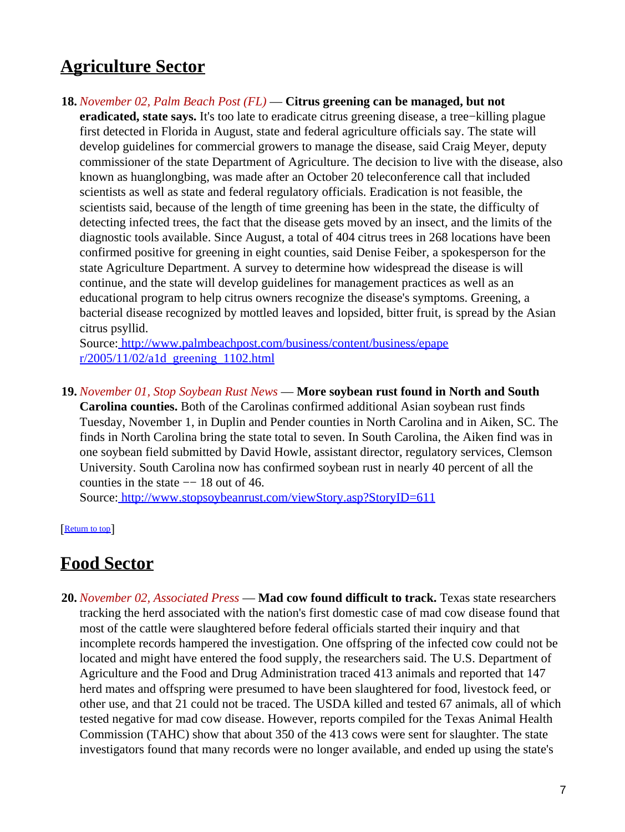## <span id="page-6-0"></span>**Agriculture Sector**

**18.** *November 02, Palm Beach Post (FL)* — **Citrus greening can be managed, but not eradicated, state says.** It's too late to eradicate citrus greening disease, a tree−killing plague first detected in Florida in August, state and federal agriculture officials say. The state will develop guidelines for commercial growers to manage the disease, said Craig Meyer, deputy commissioner of the state Department of Agriculture. The decision to live with the disease, also known as huanglongbing, was made after an October 20 teleconference call that included scientists as well as state and federal regulatory officials. Eradication is not feasible, the scientists said, because of the length of time greening has been in the state, the difficulty of detecting infected trees, the fact that the disease gets moved by an insect, and the limits of the diagnostic tools available. Since August, a total of 404 citrus trees in 268 locations have been confirmed positive for greening in eight counties, said Denise Feiber, a spokesperson for the state Agriculture Department. A survey to determine how widespread the disease is will continue, and the state will develop guidelines for management practices as well as an educational program to help citrus owners recognize the disease's symptoms. Greening, a bacterial disease recognized by mottled leaves and lopsided, bitter fruit, is spread by the Asian citrus psyllid.

Source[: http://www.palmbeachpost.com/business/content/business/epape](http://www.palmbeachpost.com/business/content/business/epaper/2005/11/02/a1d_greening_1102.html)  $r/2005/11/02/a1d$  greening 1102.html

**19.** *November 01, Stop Soybean Rust News* — **More soybean rust found in North and South**

**Carolina counties.** Both of the Carolinas confirmed additional Asian soybean rust finds Tuesday, November 1, in Duplin and Pender counties in North Carolina and in Aiken, SC. The finds in North Carolina bring the state total to seven. In South Carolina, the Aiken find was in one soybean field submitted by David Howle, assistant director, regulatory services, Clemson University. South Carolina now has confirmed soybean rust in nearly 40 percent of all the counties in the state  $-18$  out of 46.

Source[: http://www.stopsoybeanrust.com/viewStory.asp?StoryID=611](http://www.stopsoybeanrust.com/viewStory.asp?StoryID=611)

[[Return to top](#page-0-1)]

### <span id="page-6-1"></span>**Food Sector**

**20.** *November 02, Associated Press* — **Mad cow found difficult to track.** Texas state researchers tracking the herd associated with the nation's first domestic case of mad cow disease found that most of the cattle were slaughtered before federal officials started their inquiry and that incomplete records hampered the investigation. One offspring of the infected cow could not be located and might have entered the food supply, the researchers said. The U.S. Department of Agriculture and the Food and Drug Administration traced 413 animals and reported that 147 herd mates and offspring were presumed to have been slaughtered for food, livestock feed, or other use, and that 21 could not be traced. The USDA killed and tested 67 animals, all of which tested negative for mad cow disease. However, reports compiled for the Texas Animal Health Commission (TAHC) show that about 350 of the 413 cows were sent for slaughter. The state investigators found that many records were no longer available, and ended up using the state's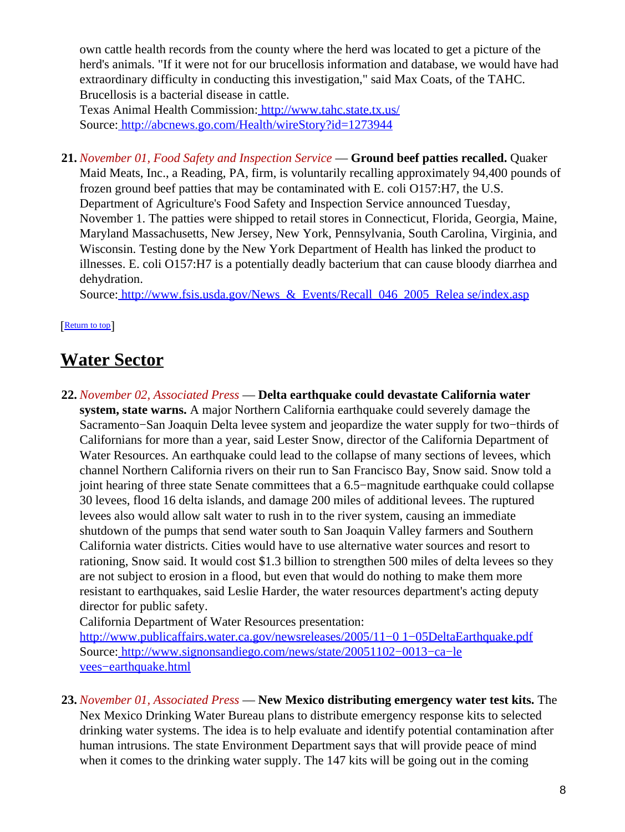own cattle health records from the county where the herd was located to get a picture of the herd's animals. "If it were not for our brucellosis information and database, we would have had extraordinary difficulty in conducting this investigation," said Max Coats, of the TAHC. Brucellosis is a bacterial disease in cattle.

Texas Animal Health Commission:<http://www.tahc.state.tx.us/> Source[: http://abcnews.go.com/Health/wireStory?id=1273944](http://abcnews.go.com/Health/wireStory?id=1273944)

**21.** *November 01, Food Safety and Inspection Service* — **Ground beef patties recalled.** Quaker Maid Meats, Inc., a Reading, PA, firm, is voluntarily recalling approximately 94,400 pounds of frozen ground beef patties that may be contaminated with E. coli O157:H7, the U.S. Department of Agriculture's Food Safety and Inspection Service announced Tuesday, November 1. The patties were shipped to retail stores in Connecticut, Florida, Georgia, Maine, Maryland Massachusetts, New Jersey, New York, Pennsylvania, South Carolina, Virginia, and Wisconsin. Testing done by the New York Department of Health has linked the product to illnesses. E. coli O157:H7 is a potentially deadly bacterium that can cause bloody diarrhea and dehydration.

Source: http://www.fsis.usda.gov/News & Events/Recall 046 2005 Relea se/index.asp

[[Return to top](#page-0-1)]

## <span id="page-7-0"></span>**Water Sector**

**22.** *November 02, Associated Press* — **Delta earthquake could devastate California water system, state warns.** A major Northern California earthquake could severely damage the Sacramento−San Joaquin Delta levee system and jeopardize the water supply for two−thirds of Californians for more than a year, said Lester Snow, director of the California Department of Water Resources. An earthquake could lead to the collapse of many sections of levees, which channel Northern California rivers on their run to San Francisco Bay, Snow said. Snow told a joint hearing of three state Senate committees that a 6.5−magnitude earthquake could collapse 30 levees, flood 16 delta islands, and damage 200 miles of additional levees. The ruptured levees also would allow salt water to rush in to the river system, causing an immediate shutdown of the pumps that send water south to San Joaquin Valley farmers and Southern California water districts. Cities would have to use alternative water sources and resort to rationing, Snow said. It would cost \$1.3 billion to strengthen 500 miles of delta levees so they are not subject to erosion in a flood, but even that would do nothing to make them more resistant to earthquakes, said Leslie Harder, the water resources department's acting deputy director for public safety.

California Department of Water Resources presentation:

[http://www.publicaffairs.water.ca.gov/newsreleases/2005/11−0 1−05DeltaEarthquake.pdf](http://www.publicaffairs.water.ca.gov/newsreleases/2005/11-01-05DeltaEarthquake.pdf) Source[: http://www.signonsandiego.com/news/state/20051102−0013−ca−le](http://www.signonsandiego.com/news/state/20051102-0013-ca-levees-earthquake.html) [vees−earthquake.html](http://www.signonsandiego.com/news/state/20051102-0013-ca-levees-earthquake.html)

**23.** *November 01, Associated Press* — **New Mexico distributing emergency water test kits.** The Nex Mexico Drinking Water Bureau plans to distribute emergency response kits to selected drinking water systems. The idea is to help evaluate and identify potential contamination after human intrusions. The state Environment Department says that will provide peace of mind when it comes to the drinking water supply. The 147 kits will be going out in the coming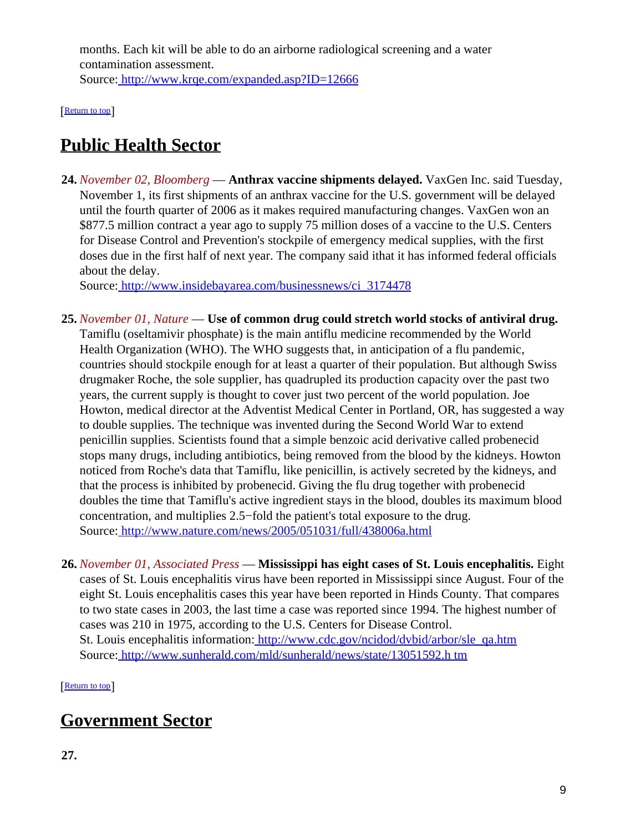months. Each kit will be able to do an airborne radiological screening and a water contamination assessment. Source[: http://www.krqe.com/expanded.asp?ID=12666](http://www.krqe.com/expanded.asp?ID=12666)

[[Return to top](#page-0-1)]

# <span id="page-8-0"></span>**Public Health Sector**

**24.** *November 02, Bloomberg* — **Anthrax vaccine shipments delayed.** VaxGen Inc. said Tuesday, November 1, its first shipments of an anthrax vaccine for the U.S. government will be delayed until the fourth quarter of 2006 as it makes required manufacturing changes. VaxGen won an \$877.5 million contract a year ago to supply 75 million doses of a vaccine to the U.S. Centers for Disease Control and Prevention's stockpile of emergency medical supplies, with the first doses due in the first half of next year. The company said ithat it has informed federal officials about the delay.

Source[: http://www.insidebayarea.com/businessnews/ci\\_3174478](http://www.insidebayarea.com/businessnews/ci_3174478)

- **25.** *November 01, Nature* — **Use of common drug could stretch world stocks of antiviral drug.** Tamiflu (oseltamivir phosphate) is the main antiflu medicine recommended by the World Health Organization (WHO). The WHO suggests that, in anticipation of a flu pandemic, countries should stockpile enough for at least a quarter of their population. But although Swiss drugmaker Roche, the sole supplier, has quadrupled its production capacity over the past two years, the current supply is thought to cover just two percent of the world population. Joe Howton, medical director at the Adventist Medical Center in Portland, OR, has suggested a way to double supplies. The technique was invented during the Second World War to extend penicillin supplies. Scientists found that a simple benzoic acid derivative called probenecid stops many drugs, including antibiotics, being removed from the blood by the kidneys. Howton noticed from Roche's data that Tamiflu, like penicillin, is actively secreted by the kidneys, and that the process is inhibited by probenecid. Giving the flu drug together with probenecid doubles the time that Tamiflu's active ingredient stays in the blood, doubles its maximum blood concentration, and multiplies 2.5−fold the patient's total exposure to the drug. Source[: http://www.nature.com/news/2005/051031/full/438006a.html](http://www.nature.com/news/2005/051031/full/438006a.html)
- **26.** *November 01, Associated Press* — **Mississippi has eight cases of St. Louis encephalitis.** Eight cases of St. Louis encephalitis virus have been reported in Mississippi since August. Four of the eight St. Louis encephalitis cases this year have been reported in Hinds County. That compares to two state cases in 2003, the last time a case was reported since 1994. The highest number of cases was 210 in 1975, according to the U.S. Centers for Disease Control. St. Louis encephalitis information: [http://www.cdc.gov/ncidod/dvbid/arbor/sle\\_qa.htm](http://www.cdc.gov/ncidod/dvbid/arbor/sle_qa.htm) Source[: http://www.sunherald.com/mld/sunherald/news/state/13051592.h tm](http://www.sunherald.com/mld/sunherald/news/state/13051592.htm)

[[Return to top](#page-0-1)]

## <span id="page-8-1"></span>**Government Sector**

**27.**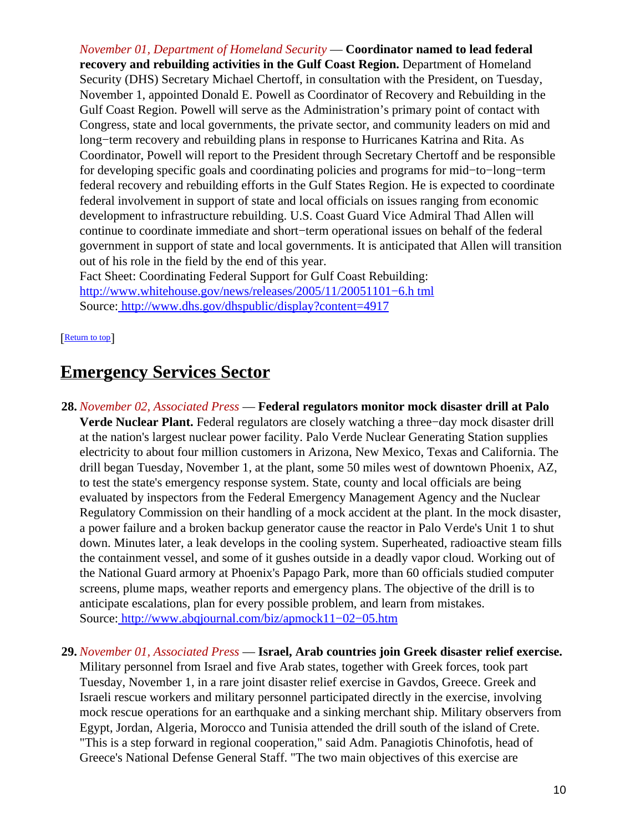*November 01, Department of Homeland Security* — **Coordinator named to lead federal recovery and rebuilding activities in the Gulf Coast Region.** Department of Homeland Security (DHS) Secretary Michael Chertoff, in consultation with the President, on Tuesday, November 1, appointed Donald E. Powell as Coordinator of Recovery and Rebuilding in the Gulf Coast Region. Powell will serve as the Administration's primary point of contact with Congress, state and local governments, the private sector, and community leaders on mid and long−term recovery and rebuilding plans in response to Hurricanes Katrina and Rita. As Coordinator, Powell will report to the President through Secretary Chertoff and be responsible for developing specific goals and coordinating policies and programs for mid−to−long−term federal recovery and rebuilding efforts in the Gulf States Region. He is expected to coordinate federal involvement in support of state and local officials on issues ranging from economic development to infrastructure rebuilding. U.S. Coast Guard Vice Admiral Thad Allen will continue to coordinate immediate and short−term operational issues on behalf of the federal government in support of state and local governments. It is anticipated that Allen will transition out of his role in the field by the end of this year.

Fact Sheet: Coordinating Federal Support for Gulf Coast Rebuilding: [http://www.whitehouse.gov/news/releases/2005/11/20051101−6.h tml](http://www.whitehouse.gov/news/releases/2005/11/20051101-6.html) Source[: http://www.dhs.gov/dhspublic/display?content=4917](http://www.dhs.gov/dhspublic/display?content=4917)

[[Return to top](#page-0-1)]

### <span id="page-9-0"></span>**Emergency Services Sector**

**28.** *November 02, Associated Press* — **Federal regulators monitor mock disaster drill at Palo Verde Nuclear Plant.** Federal regulators are closely watching a three−day mock disaster drill at the nation's largest nuclear power facility. Palo Verde Nuclear Generating Station supplies electricity to about four million customers in Arizona, New Mexico, Texas and California. The drill began Tuesday, November 1, at the plant, some 50 miles west of downtown Phoenix, AZ, to test the state's emergency response system. State, county and local officials are being evaluated by inspectors from the Federal Emergency Management Agency and the Nuclear Regulatory Commission on their handling of a mock accident at the plant. In the mock disaster, a power failure and a broken backup generator cause the reactor in Palo Verde's Unit 1 to shut down. Minutes later, a leak develops in the cooling system. Superheated, radioactive steam fills the containment vessel, and some of it gushes outside in a deadly vapor cloud. Working out of the National Guard armory at Phoenix's Papago Park, more than 60 officials studied computer screens, plume maps, weather reports and emergency plans. The objective of the drill is to anticipate escalations, plan for every possible problem, and learn from mistakes. Source[: http://www.abqjournal.com/biz/apmock11−02−05.htm](http://www.abqjournal.com/biz/apmock11-02-05.htm)

#### **29.** *November 01, Associated Press* — **Israel, Arab countries join Greek disaster relief exercise.**

Military personnel from Israel and five Arab states, together with Greek forces, took part Tuesday, November 1, in a rare joint disaster relief exercise in Gavdos, Greece. Greek and Israeli rescue workers and military personnel participated directly in the exercise, involving mock rescue operations for an earthquake and a sinking merchant ship. Military observers from Egypt, Jordan, Algeria, Morocco and Tunisia attended the drill south of the island of Crete. "This is a step forward in regional cooperation," said Adm. Panagiotis Chinofotis, head of Greece's National Defense General Staff. "The two main objectives of this exercise are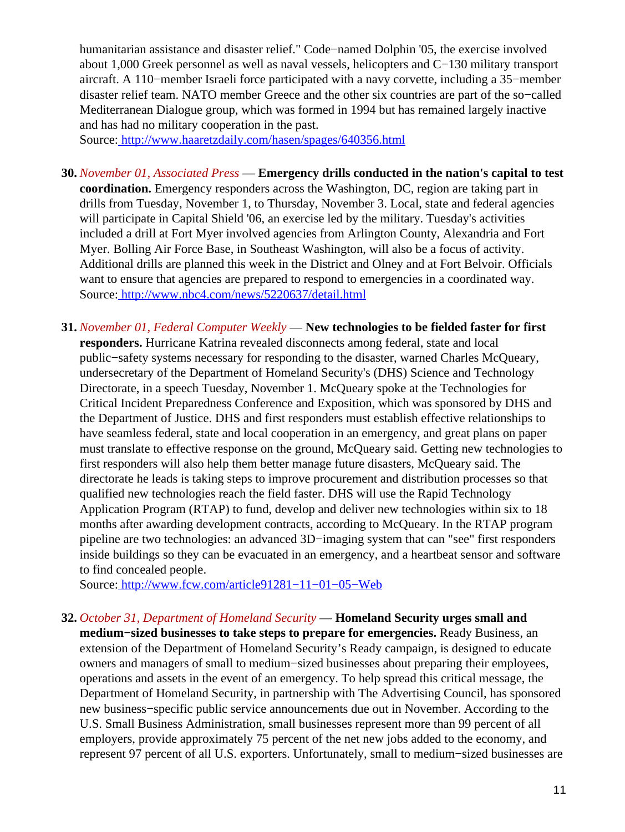humanitarian assistance and disaster relief." Code−named Dolphin '05, the exercise involved about 1,000 Greek personnel as well as naval vessels, helicopters and C−130 military transport aircraft. A 110−member Israeli force participated with a navy corvette, including a 35−member disaster relief team. NATO member Greece and the other six countries are part of the so−called Mediterranean Dialogue group, which was formed in 1994 but has remained largely inactive and has had no military cooperation in the past.

Source[: http://www.haaretzdaily.com/hasen/spages/640356.html](http://www.haaretzdaily.com/hasen/spages/640356.html)

- **30.** *November 01, Associated Press* — **Emergency drills conducted in the nation's capital to test coordination.** Emergency responders across the Washington, DC, region are taking part in drills from Tuesday, November 1, to Thursday, November 3. Local, state and federal agencies will participate in Capital Shield '06, an exercise led by the military. Tuesday's activities included a drill at Fort Myer involved agencies from Arlington County, Alexandria and Fort Myer. Bolling Air Force Base, in Southeast Washington, will also be a focus of activity. Additional drills are planned this week in the District and Olney and at Fort Belvoir. Officials want to ensure that agencies are prepared to respond to emergencies in a coordinated way. Source[: http://www.nbc4.com/news/5220637/detail.html](http://www.nbc4.com/news/5220637/detail.html)
- **31.** *November 01, Federal Computer Weekly* — **New technologies to be fielded faster for first responders.** Hurricane Katrina revealed disconnects among federal, state and local public−safety systems necessary for responding to the disaster, warned Charles McQueary, undersecretary of the Department of Homeland Security's (DHS) Science and Technology Directorate, in a speech Tuesday, November 1. McQueary spoke at the Technologies for Critical Incident Preparedness Conference and Exposition, which was sponsored by DHS and the Department of Justice. DHS and first responders must establish effective relationships to have seamless federal, state and local cooperation in an emergency, and great plans on paper must translate to effective response on the ground, McQueary said. Getting new technologies to first responders will also help them better manage future disasters, McQueary said. The directorate he leads is taking steps to improve procurement and distribution processes so that qualified new technologies reach the field faster. DHS will use the Rapid Technology Application Program (RTAP) to fund, develop and deliver new technologies within six to 18 months after awarding development contracts, according to McQueary. In the RTAP program pipeline are two technologies: an advanced 3D−imaging system that can "see" first responders inside buildings so they can be evacuated in an emergency, and a heartbeat sensor and software to find concealed people.

Source[: http://www.fcw.com/article91281−11−01−05−Web](http://www.fcw.com/article91281-11-01-05-Web)

**32.** *October 31, Department of Homeland Security* — **Homeland Security urges small and medium−sized businesses to take steps to prepare for emergencies.** Ready Business, an extension of the Department of Homeland Security's Ready campaign, is designed to educate owners and managers of small to medium−sized businesses about preparing their employees, operations and assets in the event of an emergency. To help spread this critical message, the Department of Homeland Security, in partnership with The Advertising Council, has sponsored new business−specific public service announcements due out in November. According to the U.S. Small Business Administration, small businesses represent more than 99 percent of all employers, provide approximately 75 percent of the net new jobs added to the economy, and represent 97 percent of all U.S. exporters. Unfortunately, small to medium−sized businesses are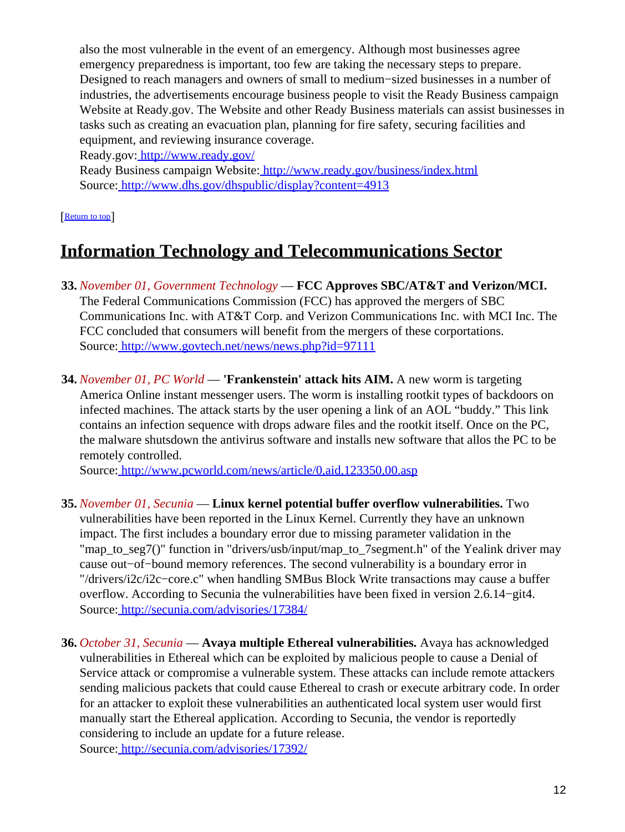also the most vulnerable in the event of an emergency. Although most businesses agree emergency preparedness is important, too few are taking the necessary steps to prepare. Designed to reach managers and owners of small to medium−sized businesses in a number of industries, the advertisements encourage business people to visit the Ready Business campaign Website at Ready.gov. The Website and other Ready Business materials can assist businesses in tasks such as creating an evacuation plan, planning for fire safety, securing facilities and equipment, and reviewing insurance coverage.

Ready.gov:<http://www.ready.gov/>

Ready Business campaign Website:<http://www.ready.gov/business/index.html> Source[: http://www.dhs.gov/dhspublic/display?content=4913](http://www.dhs.gov/dhspublic/display?content=4913)

[[Return to top](#page-0-1)]

# <span id="page-11-0"></span>**Information Technology and Telecommunications Sector**

- **33.** *November 01, Government Technology* — **FCC Approves SBC/AT&T and Verizon/MCI.** The Federal Communications Commission (FCC) has approved the mergers of SBC Communications Inc. with AT&T Corp. and Verizon Communications Inc. with MCI Inc. The FCC concluded that consumers will benefit from the mergers of these corportations. Source[: http://www.govtech.net/news/news.php?id=97111](http://www.govtech.net/news/news.php?id=97111)
- **34.** *November 01, PC World* — **'Frankenstein' attack hits AIM.** A new worm is targeting America Online instant messenger users. The worm is installing rootkit types of backdoors on infected machines. The attack starts by the user opening a link of an AOL "buddy." This link contains an infection sequence with drops adware files and the rootkit itself. Once on the PC, the malware shutsdown the antivirus software and installs new software that allos the PC to be remotely controlled.

Source[: http://www.pcworld.com/news/article/0,aid,123350,00.asp](http://www.pcworld.com/news/article/0,aid,123350,00.asp)

- **35.** *November 01, Secunia* — **Linux kernel potential buffer overflow vulnerabilities.** Two vulnerabilities have been reported in the Linux Kernel. Currently they have an unknown impact. The first includes a boundary error due to missing parameter validation in the "map\_to\_seg7()" function in "drivers/usb/input/map\_to\_7segment.h" of the Yealink driver may cause out−of−bound memory references. The second vulnerability is a boundary error in "/drivers/i2c/i2c−core.c" when handling SMBus Block Write transactions may cause a buffer overflow. According to Secunia the vulnerabilities have been fixed in version 2.6.14−git4. Source[: http://secunia.com/advisories/17384/](http://secunia.com/advisories/17384/)
- **36.** *October 31, Secunia* — **Avaya multiple Ethereal vulnerabilities.** Avaya has acknowledged vulnerabilities in Ethereal which can be exploited by malicious people to cause a Denial of Service attack or compromise a vulnerable system. These attacks can include remote attackers sending malicious packets that could cause Ethereal to crash or execute arbitrary code. In order for an attacker to exploit these vulnerabilities an authenticated local system user would first manually start the Ethereal application. According to Secunia, the vendor is reportedly considering to include an update for a future release. Source[: http://secunia.com/advisories/17392/](http://secunia.com/advisories/17392/)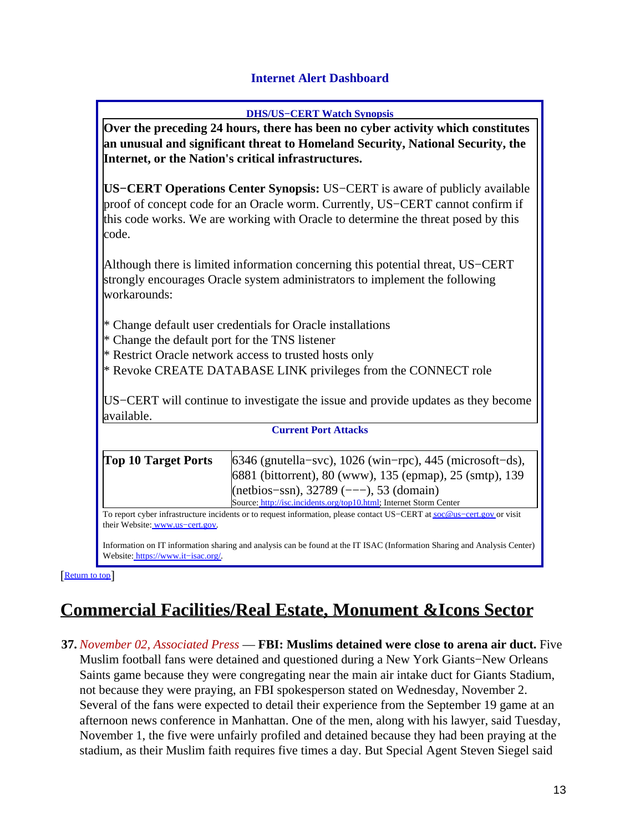#### **Internet Alert Dashboard**

<span id="page-12-0"></span>

|                                                                                        | <b>DHS/US-CERT Watch Synopsis</b>                                                                                                                                                                                                                                                                |  |  |
|----------------------------------------------------------------------------------------|--------------------------------------------------------------------------------------------------------------------------------------------------------------------------------------------------------------------------------------------------------------------------------------------------|--|--|
| <b>Over the preceding 24 hours, there has been no cyber activity which constitutes</b> |                                                                                                                                                                                                                                                                                                  |  |  |
|                                                                                        | <b>and I amusual and significant threat to Homeland Security, National Security, the</b><br>  Internet, or the Nation's critical infrastructures.                                                                                                                                                |  |  |
|                                                                                        |                                                                                                                                                                                                                                                                                                  |  |  |
|                                                                                        |                                                                                                                                                                                                                                                                                                  |  |  |
|                                                                                        | $\mathbf{F}$ and $\mathbf{F}$ and $\mathbf{F}$ and $\mathbf{F}$ and $\mathbf{F}$ and $\mathbf{F}$ and $\mathbf{F}$ and $\mathbf{F}$ and $\mathbf{F}$ and $\mathbf{F}$ and $\mathbf{F}$ and $\mathbf{F}$ and $\mathbf{F}$ and $\mathbf{F}$ and $\mathbf{F}$ and $\mathbf{F}$ and $\mathbf{F}$ and |  |  |

**US−CERT Operations Center Synopsis:** US−CERT is aware of publicly available proof of concept code for an Oracle worm. Currently, US−CERT cannot confirm if this code works. We are working with Oracle to determine the threat posed by this code.

Although there is limited information concerning this potential threat, US−CERT strongly encourages Oracle system administrators to implement the following workarounds:

- \* Change default user credentials for Oracle installations
- \* Change the default port for the TNS listener
- \* Restrict Oracle network access to trusted hosts only
- \* Revoke CREATE DATABASE LINK privileges from the CONNECT role

US−CERT will continue to investigate the issue and provide updates as they become available.

| <b>Current Port Attacks</b>                                                                                            |                                                                                                                          |  |  |  |
|------------------------------------------------------------------------------------------------------------------------|--------------------------------------------------------------------------------------------------------------------------|--|--|--|
|                                                                                                                        |                                                                                                                          |  |  |  |
| <b>Top 10 Target Ports</b>                                                                                             | $6346$ (gnutella–svc), 1026 (win–rpc), 445 (microsoft–ds),                                                               |  |  |  |
|                                                                                                                        | 6881 (bittorrent), 80 (www), 135 (epmap), 25 (smtp), 139                                                                 |  |  |  |
|                                                                                                                        | (netbios-ssn), 32789 (---), 53 (domain)                                                                                  |  |  |  |
|                                                                                                                        | Source: http://isc.incidents.org/top10.html; Internet Storm Center                                                       |  |  |  |
| To report cyber infrastructure incidents or to request information, please contact US-CERT at soc@us-cert.gov or visit |                                                                                                                          |  |  |  |
| their Website: www.us-cert.gov.                                                                                        |                                                                                                                          |  |  |  |
|                                                                                                                        | Information on IT information sharing and analysis can be found at the IT ISAC (Information Sharing and Analysis Center) |  |  |  |

[[Return to top](#page-0-1)]

Website: [https://www.it−isac.org/.](https://www.it-isac.org/)

# <span id="page-12-1"></span>**Commercial Facilities/Real Estate, Monument &Icons Sector**

**37.** *November 02, Associated Press* — **FBI: Muslims detained were close to arena air duct.** Five Muslim football fans were detained and questioned during a New York Giants−New Orleans Saints game because they were congregating near the main air intake duct for Giants Stadium, not because they were praying, an FBI spokesperson stated on Wednesday, November 2. Several of the fans were expected to detail their experience from the September 19 game at an afternoon news conference in Manhattan. One of the men, along with his lawyer, said Tuesday, November 1, the five were unfairly profiled and detained because they had been praying at the stadium, as their Muslim faith requires five times a day. But Special Agent Steven Siegel said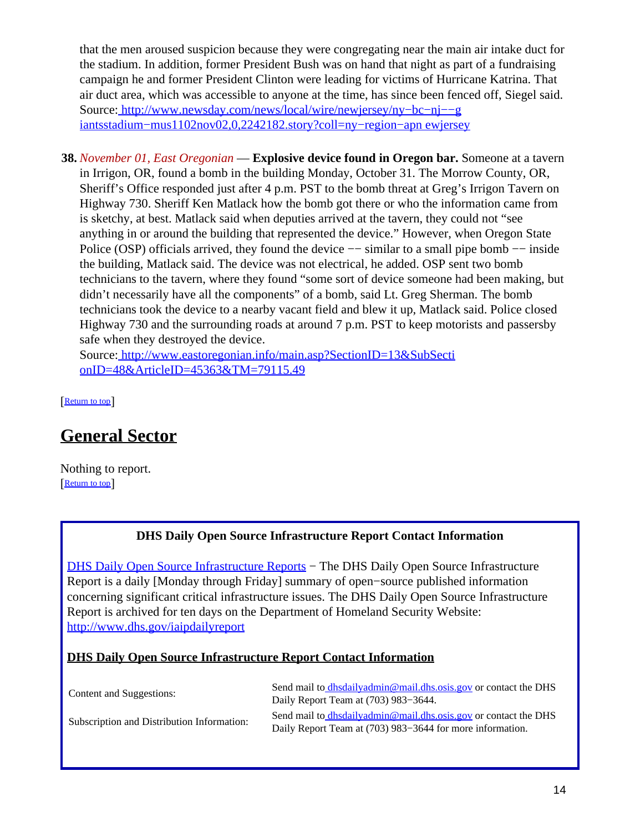that the men aroused suspicion because they were congregating near the main air intake duct for the stadium. In addition, former President Bush was on hand that night as part of a fundraising campaign he and former President Clinton were leading for victims of Hurricane Katrina. That air duct area, which was accessible to anyone at the time, has since been fenced off, Siegel said. Source[: http://www.newsday.com/news/local/wire/newjersey/ny−bc−nj−−g](http://www.newsday.com/news/local/wire/newjersey/ny-bc-nj--giantsstadium-mus1102nov02,0,2242182.story?coll=ny-region-apnewjersey) [iantsstadium−mus1102nov02,0,2242182.story?coll=ny−region−apn ewjersey](http://www.newsday.com/news/local/wire/newjersey/ny-bc-nj--giantsstadium-mus1102nov02,0,2242182.story?coll=ny-region-apnewjersey)

**38.** *November 01, East Oregonian* — **Explosive device found in Oregon bar.** Someone at a tavern in Irrigon, OR, found a bomb in the building Monday, October 31. The Morrow County, OR, Sheriff's Office responded just after 4 p.m. PST to the bomb threat at Greg's Irrigon Tavern on Highway 730. Sheriff Ken Matlack how the bomb got there or who the information came from is sketchy, at best. Matlack said when deputies arrived at the tavern, they could not "see anything in or around the building that represented the device." However, when Oregon State Police (OSP) officials arrived, they found the device −− similar to a small pipe bomb −− inside the building, Matlack said. The device was not electrical, he added. OSP sent two bomb technicians to the tavern, where they found "some sort of device someone had been making, but didn't necessarily have all the components" of a bomb, said Lt. Greg Sherman. The bomb technicians took the device to a nearby vacant field and blew it up, Matlack said. Police closed Highway 730 and the surrounding roads at around 7 p.m. PST to keep motorists and passersby safe when they destroyed the device.

Source[: http://www.eastoregonian.info/main.asp?SectionID=13&SubSecti](http://www.eastoregonian.info/main.asp?SectionID=13&SubSectionID=48&ArticleID=45363&TM=79115.49) [onID=48&ArticleID=45363&TM=79115.49](http://www.eastoregonian.info/main.asp?SectionID=13&SubSectionID=48&ArticleID=45363&TM=79115.49)

[[Return to top](#page-0-1)]

# <span id="page-13-0"></span>**General Sector**

Nothing to report. [[Return to top](#page-0-1)]

#### **DHS Daily Open Source Infrastructure Report Contact Information**

<span id="page-13-1"></span>[DHS Daily Open Source Infrastructure Reports](http://www.dhs.gov/iaipdailyreport) – The DHS Daily Open Source Infrastructure Report is a daily [Monday through Friday] summary of open−source published information concerning significant critical infrastructure issues. The DHS Daily Open Source Infrastructure Report is archived for ten days on the Department of Homeland Security Website: <http://www.dhs.gov/iaipdailyreport>

#### **DHS Daily Open Source Infrastructure Report Contact Information**

| Content and Suggestions:                   | Send mail to <i>dhsdailyadmin@mail.dhs.osis.gov</i> or contact the DHS<br>Daily Report Team at (703) 983–3644.               |
|--------------------------------------------|------------------------------------------------------------------------------------------------------------------------------|
| Subscription and Distribution Information: | Send mail to dhsdailyadmin@mail.dhs.osis.gov or contact the DHS<br>Daily Report Team at (703) 983–3644 for more information. |